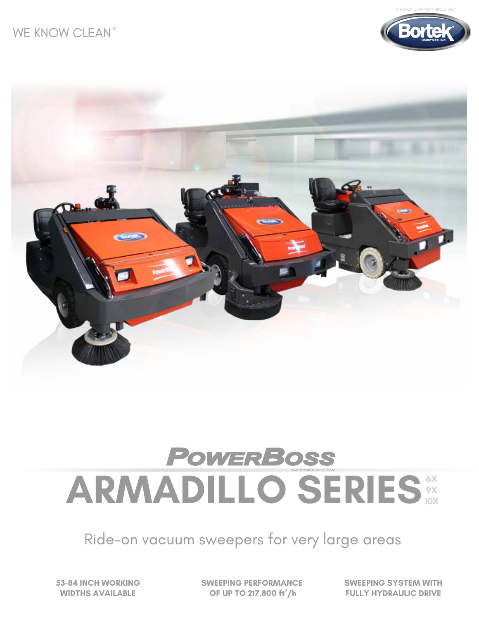## WE KNOW CLEAN<sup>TM</sup>





## **POWERBOSS ARMADILLO SERIES 6X 9X 10X**

Ride-on vacuum sweepers for very large areas

**53-84 INCH WORKING WIDTHS AVAILABLE**

**SWEEPING PERFORMANCE OF UP TO 217,800 ft**²**/h**

**SWEEPING SYSTEM WITH FULLY HYDRAULIC DRIVE**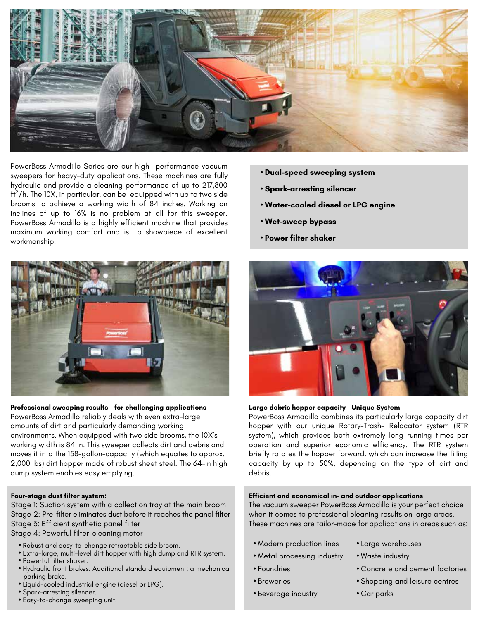

PowerBoss Armadillo Series are our high- performance vacuum sweepers for heavy-duty applications. These machines are fully hydraulic and provide a cleaning performance of up to 217,800  $ft<sup>2</sup>/h$ . The 10X, in particular, can be equipped with up to two side brooms to achieve a working width of 84 inches. Working on inclines of up to 16% is no problem at all for this sweeper. PowerBoss Armadillo is a highly efficient machine that provides maximum working comfort and is a showpiece of excellent workmanship.



#### **Professional sweeping results – for challenging applications**

PowerBoss Armadillo reliably deals with even extra-large amounts of dirt and particularly demanding working environments. When equipped with two side brooms, the 10X's working width is 84 in. This sweeper collects dirt and debris and moves it into the 158-gallon-capacity (which equates to approx. 2,000 lbs) dirt hopper made of robust sheet steel. The 64-in high dump system enables easy emptying.

#### **Four-stage dust filter system:**

Stage 1: Suction system with a collection tray at the main broom Stage 2: Pre-filter eliminates dust before it reaches the panel filter Stage 3: Efficient synthetic panel filter

Stage 4: Powerful filter-cleaning motor

- Robust and easy-to-change retractable side broom.
- Extra-large, multi-level dirt hopper with high dump and RTR system. **•** Powerful filter shaker.
- Hydraulic front brakes. Additional standard equipment: a mechanical parking brake.
- Liquid-cooled industrial engine (diesel or LPG).
- Spark-arresting silencer.
- Easy-to-change sweeping unit.
- **Dual-speed sweeping system**
- **Spark-arresting silencer**
- **Water-cooled diesel or LPG engine**
- **Wet-sweep bypass**
- **Power filter shaker**



#### **Large debris hopper capacity - Unique System**

PowerBoss Armadillo combines its particularly large capacity dirt hopper with our unique Rotary-Trash- Relocator system (RTR system), which provides both extremely long running times per operation and superior economic efficiency. The RTR system briefly rotates the hopper forward, which can increase the filling capacity by up to 50%, depending on the type of dirt and debris.

#### **Efficient and economical in- and outdoor applications**

The vacuum sweeper PowerBoss Armadillo is your perfect choice when it comes to professional cleaning results on large areas. These machines are tailor-made for applications in areas such as:

- Modern production lines
- Large warehouses **•** Waste industry
- Metal processing industry
- Foundries
- Breweries
- Beverage industry
- Concrete and cement factories
- Shopping and leisure centres
- Car parks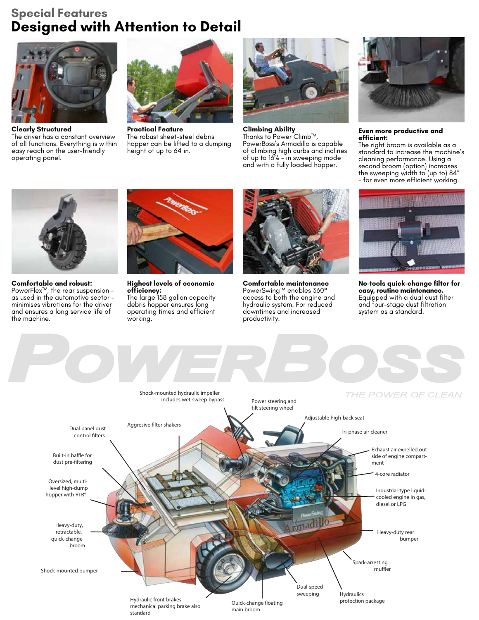## **Special Features Designed with Attention to Detail**



**Clearly Structured** The driver has a constant overview of all functions. Everything is within easy reach on the user-friendly operating panel.



**Practical Feature** The robust sheet-steel debris hopper can be lifted to a dumping height of up to 64 in.



**Climbing Ability**<br>Thanks to Power Climb™, PowerBoss's Armadillo is capable of climbing high curbs and inclines of up to 16% - in sweeping mode and with a fully loaded hopper.



**Even more productive and efficient:**

The right broom is available as a standard to increase the machine's cleaning performance. Using a second broom (option) increases the sweeping width to (up to) 84" - for even more efficient working.



**Comfortable and robust:** PowerFlex<sup>™</sup>, the rear suspension as used in the automotive sector minimises vibrations for the driver and ensures a long service life of

the machine.



**Highest levels of economic efficiency:** The large 158 gallon capacity debris hopper ensures long operating times and efficient working.



**Comfortable maintenance** PowerSwing™ enables 360° access to both the engine and hydraulic system. For reduced downtimes and increased productivity.



**No-tools quick-change filter for easy, routine maintenance.** Equipped with a dual dust filter and four-stage dust filtration system as a standard.